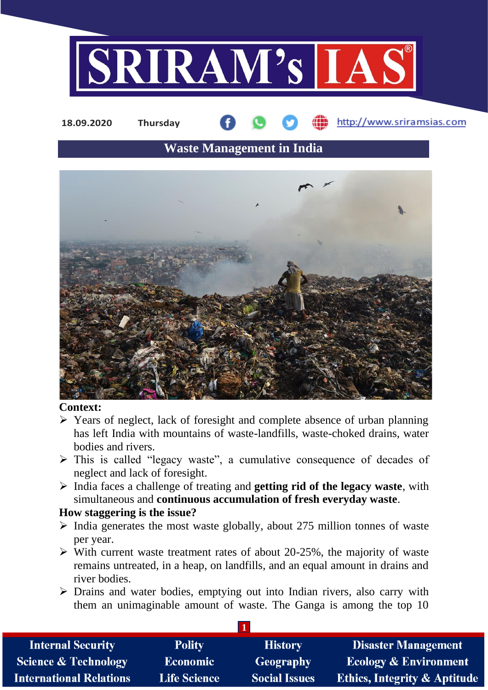

**18.09.2020 Thursday**

## http://www.sriramsias.com

# **Waste Management in India**



#### **Context:**

- ➢ Years of neglect, lack of foresight and complete absence of urban planning has left India with mountains of waste-landfills, waste-choked drains, water bodies and rivers.
- ➢ This is called "legacy waste", a cumulative consequence of decades of neglect and lack of foresight.
- ➢ India faces a challenge of treating and **getting rid of the legacy waste**, with simultaneous and **continuous accumulation of fresh everyday waste**.

#### **How staggering is the issue?**

- $\triangleright$  India generates the most waste globally, about 275 million tonnes of waste per year.
- $\triangleright$  With current waste treatment rates of about 20-25%, the majority of waste remains untreated, in a heap, on landfills, and an equal amount in drains and river bodies.
- ➢ Drains and water bodies, emptying out into Indian rivers, also carry with them an unimaginable amount of waste. The Ganga is among the top 10

| <b>Internal Security</b>        | <b>Polity</b>       | <b>History</b>       | <b>Disaster Management</b>              |  |  |  |
|---------------------------------|---------------------|----------------------|-----------------------------------------|--|--|--|
| <b>Science &amp; Technology</b> | <b>Economic</b>     | <b>Geography</b>     | <b>Ecology &amp; Environment</b>        |  |  |  |
| <b>International Relations</b>  | <b>Life Science</b> | <b>Social Issues</b> | <b>Ethics, Integrity &amp; Aptitude</b> |  |  |  |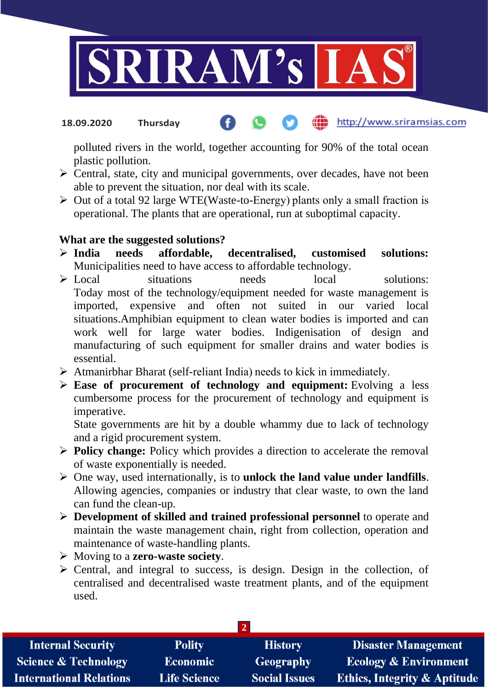

http://www.sriramsias.com **18.09.2020 Thursday**

polluted rivers in the world, together accounting for 90% of the total ocean plastic pollution.

- ➢ Central, state, city and municipal governments, over decades, have not been able to prevent the situation, nor deal with its scale.
- ➢ Out of a total 92 large WTE(Waste-to-Energy) plants only a small fraction is operational. The plants that are operational, run at suboptimal capacity.

### **What are the suggested solutions?**

- ➢ **India needs affordable, decentralised, customised solutions:** Municipalities need to have access to affordable technology.
- ➢ Local situations needs local solutions: Today most of the technology/equipment needed for waste management is imported, expensive and often not suited in our varied local situations.Amphibian equipment to clean water bodies is imported and can work well for large water bodies. Indigenisation of design and manufacturing of such equipment for smaller drains and water bodies is essential.
- ➢ Atmanirbhar Bharat (self-reliant India) needs to kick in immediately.
- ➢ **Ease of procurement of technology and equipment:** Evolving a less cumbersome process for the procurement of technology and equipment is imperative.

State governments are hit by a double whammy due to lack of technology and a rigid procurement system.

- ➢ **Policy change:** Policy which provides a direction to accelerate the removal of waste exponentially is needed.
- ➢ One way, used internationally, is to **unlock the land value under landfills**. Allowing agencies, companies or industry that clear waste, to own the land can fund the clean-up.
- ➢ **Development of skilled and trained professional personnel** to operate and maintain the waste management chain, right from collection, operation and maintenance of waste-handling plants.
- ➢ Moving to a **zero-waste society**.
- $\triangleright$  Central, and integral to success, is design. Design in the collection, of centralised and decentralised waste treatment plants, and of the equipment used.

| <b>Internal Security</b>        | <b>Polity</b>       | <b>History</b>       | <b>Disaster Management</b>       |  |  |  |
|---------------------------------|---------------------|----------------------|----------------------------------|--|--|--|
| <b>Science &amp; Technology</b> | <b>Economic</b>     | Geography            | <b>Ecology &amp; Environment</b> |  |  |  |
| <b>International Relations</b>  | <b>Life Science</b> | <b>Social Issues</b> | Ethics, Integrity & Aptitude     |  |  |  |